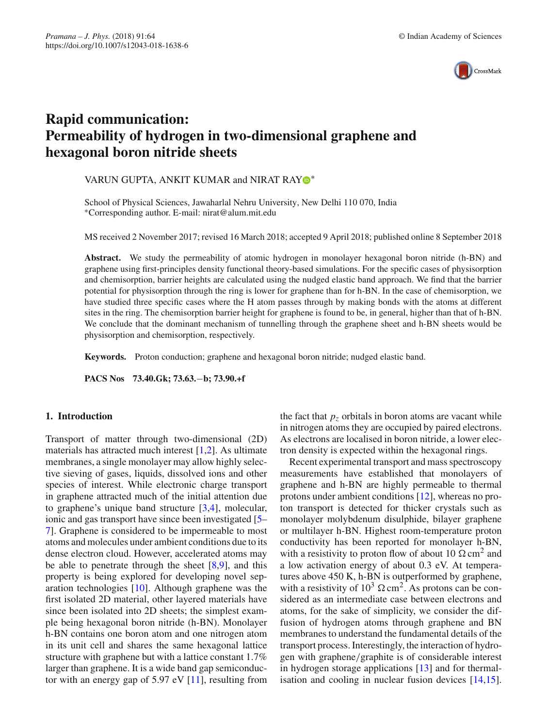

# **Rapid communication: Permeability of hydrogen in two-dimensional graphene and hexagonal boron nitride sheets**

# VARUN GUPTA, ANKIT KUMAR and NIRAT RA[Y](http://orcid.org/0000-0003-0984-2469)<sup>®</sup>\*

School of Physical Sciences, Jawaharlal Nehru University, New Delhi 110 070, India ∗Corresponding author. E-mail: nirat@alum.mit.edu

MS received 2 November 2017; revised 16 March 2018; accepted 9 April 2018; published online 8 September 2018

**Abstract.** We study the permeability of atomic hydrogen in monolayer hexagonal boron nitride (h-BN) and graphene using first-principles density functional theory-based simulations. For the specific cases of physisorption and chemisorption, barrier heights are calculated using the nudged elastic band approach. We find that the barrier potential for physisorption through the ring is lower for graphene than for h-BN. In the case of chemisorption, we have studied three specific cases where the H atom passes through by making bonds with the atoms at different sites in the ring. The chemisorption barrier height for graphene is found to be, in general, higher than that of h-BN. We conclude that the dominant mechanism of tunnelling through the graphene sheet and h-BN sheets would be physisorption and chemisorption, respectively.

**Keywords.** Proton conduction; graphene and hexagonal boron nitride; nudged elastic band.

**PACS Nos 73.40.Gk; 73.63.**−**b; 73.90.+f**

# **1. Introduction**

Transport of matter through two-dimensional (2D) materials has attracted much interest [\[1](#page-4-0)[,2](#page-4-1)]. As ultimate membranes, a single monolayer may allow highly selective sieving of gases, liquids, dissolved ions and other species of interest. While electronic charge transport in graphene attracted much of the initial attention due to graphene's unique band structure [\[3](#page-4-2)[,4\]](#page-4-3), molecular, ionic and gas transport have since been investigated [\[5–](#page-4-4) [7\]](#page-4-5). Graphene is considered to be impermeable to most atoms and molecules under ambient conditions due to its dense electron cloud. However, accelerated atoms may be able to penetrate through the sheet [\[8](#page-4-6)[,9\]](#page-4-7), and this property is being explored for developing novel separation technologies [\[10](#page-4-8)]. Although graphene was the first isolated 2D material, other layered materials have since been isolated into 2D sheets; the simplest example being hexagonal boron nitride (h-BN). Monolayer h-BN contains one boron atom and one nitrogen atom in its unit cell and shares the same hexagonal lattice structure with graphene but with a lattice constant 1.7% larger than graphene. It is a wide band gap semiconductor with an energy gap of 5.97 eV [\[11](#page-4-9)], resulting from the fact that  $p<sub>z</sub>$  orbitals in boron atoms are vacant while in nitrogen atoms they are occupied by paired electrons. As electrons are localised in boron nitride, a lower electron density is expected within the hexagonal rings.

Recent experimental transport and mass spectroscopy measurements have established that monolayers of graphene and h-BN are highly permeable to thermal protons under ambient conditions [\[12](#page-4-10)], whereas no proton transport is detected for thicker crystals such as monolayer molybdenum disulphide, bilayer graphene or multilayer h-BN. Highest room-temperature proton conductivity has been reported for monolayer h-BN, with a resistivity to proton flow of about 10  $\Omega$  cm<sup>2</sup> and a low activation energy of about 0.3 eV. At temperatures above 450 K, h-BN is outperformed by graphene, with a resistivity of  $10^3 \Omega \text{ cm}^2$ . As protons can be considered as an intermediate case between electrons and atoms, for the sake of simplicity, we consider the diffusion of hydrogen atoms through graphene and BN membranes to understand the fundamental details of the transport process. Interestingly, the interaction of hydrogen with graphene/graphite is of considerable interest in hydrogen storage applications [\[13\]](#page-4-11) and for thermalisation and cooling in nuclear fusion devices [\[14](#page-4-12)[,15](#page-4-13)].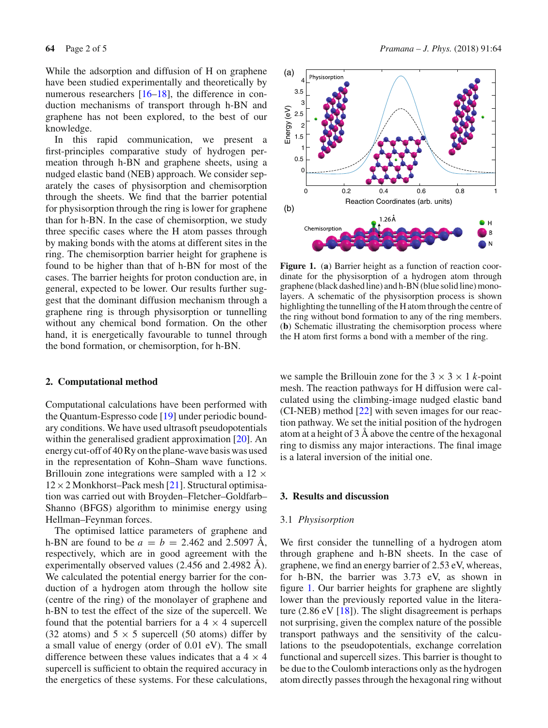While the adsorption and diffusion of H on graphene have been studied experimentally and theoretically by numerous researchers [\[16](#page-4-14)[–18\]](#page-4-15), the difference in conduction mechanisms of transport through h-BN and graphene has not been explored, to the best of our knowledge.

In this rapid communication, we present a first-principles comparative study of hydrogen permeation through h-BN and graphene sheets, using a nudged elastic band (NEB) approach. We consider separately the cases of physisorption and chemisorption through the sheets. We find that the barrier potential for physisorption through the ring is lower for graphene than for h-BN. In the case of chemisorption, we study three specific cases where the H atom passes through by making bonds with the atoms at different sites in the ring. The chemisorption barrier height for graphene is found to be higher than that of h-BN for most of the cases. The barrier heights for proton conduction are, in general, expected to be lower. Our results further suggest that the dominant diffusion mechanism through a graphene ring is through physisorption or tunnelling without any chemical bond formation. On the other hand, it is energetically favourable to tunnel through the bond formation, or chemisorption, for h-BN.

# **2. Computational method**

Computational calculations have been performed with the Quantum-Espresso code [\[19](#page-4-16)] under periodic boundary conditions. We have used ultrasoft pseudopotentials within the generalised gradient approximation [\[20](#page-4-17)]. An energy cut-off of 40 Ry on the plane-wave basis was used in the representation of Kohn–Sham wave functions. Brillouin zone integrations were sampled with a  $12 \times$  $12 \times 2$  Monkhorst–Pack mesh [\[21](#page-4-18)]. Structural optimisation was carried out with Broyden–Fletcher–Goldfarb– Shanno (BFGS) algorithm to minimise energy using Hellman–Feynman forces.

The optimised lattice parameters of graphene and h-BN are found to be  $a = b = 2.462$  and 2.5097 Å, respectively, which are in good agreement with the experimentally observed values (2.456 and 2.4982 Å). We calculated the potential energy barrier for the conduction of a hydrogen atom through the hollow site (centre of the ring) of the monolayer of graphene and h-BN to test the effect of the size of the supercell. We found that the potential barriers for a  $4 \times 4$  supercell (32 atoms) and  $5 \times 5$  supercell (50 atoms) differ by a small value of energy (order of 0.01 eV). The small difference between these values indicates that a  $4 \times 4$ supercell is sufficient to obtain the required accuracy in the energetics of these systems. For these calculations,



<span id="page-1-0"></span>**Figure 1.** (**a**) Barrier height as a function of reaction coordinate for the physisorption of a hydrogen atom through graphene (black dashed line) and h-BN (blue solid line) monolayers. A schematic of the physisorption process is shown highlighting the tunnelling of the H atom through the centre of the ring without bond formation to any of the ring members. (**b**) Schematic illustrating the chemisorption process where the H atom first forms a bond with a member of the ring.

we sample the Brillouin zone for the  $3 \times 3 \times 1$  *k*-point mesh. The reaction pathways for H diffusion were calculated using the climbing-image nudged elastic band (CI-NEB) method [\[22](#page-4-19)] with seven images for our reaction pathway. We set the initial position of the hydrogen atom at a height of 3 Å above the centre of the hexagonal ring to dismiss any major interactions. The final image is a lateral inversion of the initial one.

# **3. Results and discussion**

#### 3.1 *Physisorption*

We first consider the tunnelling of a hydrogen atom through graphene and h-BN sheets. In the case of graphene, we find an energy barrier of 2.53 eV, whereas, for h-BN, the barrier was 3.73 eV, as shown in figure [1.](#page-1-0) Our barrier heights for graphene are slightly lower than the previously reported value in the literature  $(2.86 \text{ eV} [18])$  $(2.86 \text{ eV} [18])$  $(2.86 \text{ eV} [18])$ . The slight disagreement is perhaps not surprising, given the complex nature of the possible transport pathways and the sensitivity of the calculations to the pseudopotentials, exchange correlation functional and supercell sizes. This barrier is thought to be due to the Coulomb interactions only as the hydrogen atom directly passes through the hexagonal ring without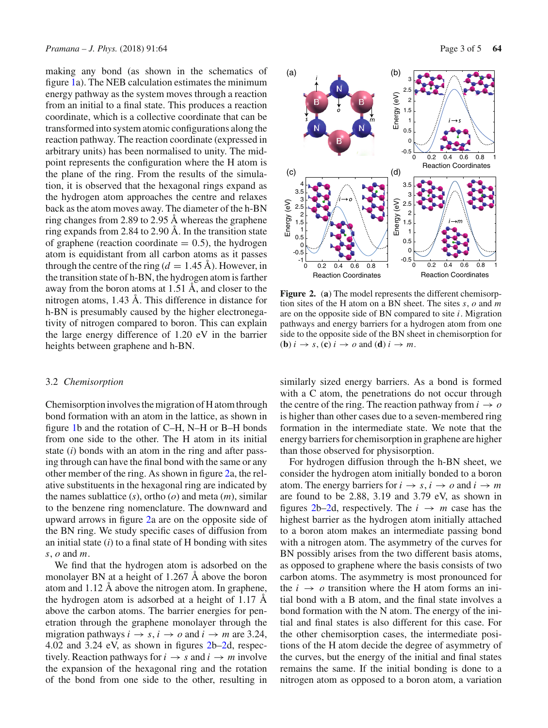making any bond (as shown in the schematics of figure [1a](#page-1-0)). The NEB calculation estimates the minimum energy pathway as the system moves through a reaction from an initial to a final state. This produces a reaction coordinate, which is a collective coordinate that can be transformed into system atomic configurations along the reaction pathway. The reaction coordinate (expressed in arbitrary units) has been normalised to unity. The midpoint represents the configuration where the H atom is the plane of the ring. From the results of the simulation, it is observed that the hexagonal rings expand as the hydrogen atom approaches the centre and relaxes back as the atom moves away. The diameter of the h-BN ring changes from 2.89 to 2.95 Å whereas the graphene ring expands from 2.84 to 2.90 Å. In the transition state of graphene (reaction coordinate  $= 0.5$ ), the hydrogen atom is equidistant from all carbon atoms as it passes through the centre of the ring ( $d = 1.45$  Å). However, in the transition state of h-BN, the hydrogen atom is farther away from the boron atoms at 1.51 Å, and closer to the nitrogen atoms, 1.43 Å. This difference in distance for h-BN is presumably caused by the higher electronegativity of nitrogen compared to boron. This can explain the large energy difference of 1.20 eV in the barrier heights between graphene and h-BN.

#### 3.2 *Chemisorption*

Chemisorption involves the migration of H atom through bond formation with an atom in the lattice, as shown in figure [1b](#page-1-0) and the rotation of C–H, N–H or B–H bonds from one side to the other. The H atom in its initial state (*i*) bonds with an atom in the ring and after passing through can have the final bond with the same or any other member of the ring. As shown in figure [2a](#page-2-0), the relative substituents in the hexagonal ring are indicated by the names sublattice (*s*), ortho (*o*) and meta (*m*), similar to the benzene ring nomenclature. The downward and upward arrows in figure [2a](#page-2-0) are on the opposite side of the BN ring. We study specific cases of diffusion from an initial state (*i*) to a final state of H bonding with sites *s*, *o* and *m*.

We find that the hydrogen atom is adsorbed on the monolayer BN at a height of 1.267 Å above the boron atom and 1.12 Å above the nitrogen atom. In graphene, the hydrogen atom is adsorbed at a height of 1.17 Å above the carbon atoms. The barrier energies for penetration through the graphene monolayer through the migration pathways  $i \rightarrow s$ ,  $i \rightarrow o$  and  $i \rightarrow m$  are 3.24, 4.02 and 3.24 eV, as shown in figures [2b–2d](#page-2-0), respectively. Reaction pathways for  $i \rightarrow s$  and  $i \rightarrow m$  involve the expansion of the hexagonal ring and the rotation of the bond from one side to the other, resulting in



<span id="page-2-0"></span>**Figure 2.** (**a**) The model represents the different chemisorption sites of the H atom on a BN sheet. The sites *s*, *o* and *m* are on the opposite side of BN compared to site *i*. Migration pathways and energy barriers for a hydrogen atom from one side to the opposite side of the BN sheet in chemisorption for (**b**)  $i \rightarrow s$ , (**c**)  $i \rightarrow o$  and (**d**)  $i \rightarrow m$ .

similarly sized energy barriers. As a bond is formed with a C atom, the penetrations do not occur through the centre of the ring. The reaction pathway from  $i \rightarrow o$ is higher than other cases due to a seven-membered ring formation in the intermediate state. We note that the energy barriers for chemisorption in graphene are higher than those observed for physisorption.

For hydrogen diffusion through the h-BN sheet, we consider the hydrogen atom initially bonded to a boron atom. The energy barriers for  $i \rightarrow s$ ,  $i \rightarrow o$  and  $i \rightarrow m$ are found to be 2.88, 3.19 and 3.79 eV, as shown in figures [2b–2d](#page-2-0), respectively. The  $i \rightarrow m$  case has the highest barrier as the hydrogen atom initially attached to a boron atom makes an intermediate passing bond with a nitrogen atom. The asymmetry of the curves for BN possibly arises from the two different basis atoms, as opposed to graphene where the basis consists of two carbon atoms. The asymmetry is most pronounced for the  $i \rightarrow o$  transition where the H atom forms an initial bond with a B atom, and the final state involves a bond formation with the N atom. The energy of the initial and final states is also different for this case. For the other chemisorption cases, the intermediate positions of the H atom decide the degree of asymmetry of the curves, but the energy of the initial and final states remains the same. If the initial bonding is done to a nitrogen atom as opposed to a boron atom, a variation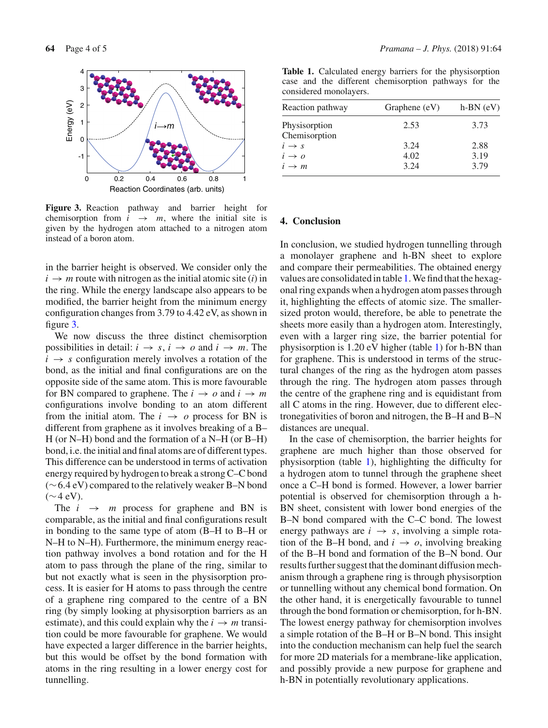

<span id="page-3-0"></span>**Figure 3.** Reaction pathway and barrier height for chemisorption from  $i \rightarrow m$ , where the initial site is given by the hydrogen atom attached to a nitrogen atom instead of a boron atom.

in the barrier height is observed. We consider only the  $i \rightarrow m$  route with nitrogen as the initial atomic site (*i*) in the ring. While the energy landscape also appears to be modified, the barrier height from the minimum energy configuration changes from 3.79 to 4.42 eV, as shown in figure [3.](#page-3-0)

We now discuss the three distinct chemisorption possibilities in detail:  $i \rightarrow s$ ,  $i \rightarrow o$  and  $i \rightarrow m$ . The  $i \rightarrow s$  configuration merely involves a rotation of the bond, as the initial and final configurations are on the opposite side of the same atom. This is more favourable for BN compared to graphene. The  $i \rightarrow o$  and  $i \rightarrow m$ configurations involve bonding to an atom different from the initial atom. The  $i \rightarrow o$  process for BN is different from graphene as it involves breaking of a B– H (or N–H) bond and the formation of a N–H (or B–H) bond, i.e. the initial and final atoms are of different types. This difference can be understood in terms of activation energy required by hydrogen to break a strong C–C bond (∼6.4 eV) compared to the relatively weaker B–N bond  $(\sim 4$  eV).

The  $i \rightarrow m$  process for graphene and BN is comparable, as the initial and final configurations result in bonding to the same type of atom (B–H to B–H or N–H to N–H). Furthermore, the minimum energy reaction pathway involves a bond rotation and for the H atom to pass through the plane of the ring, similar to but not exactly what is seen in the physisorption process. It is easier for H atoms to pass through the centre of a graphene ring compared to the centre of a BN ring (by simply looking at physisorption barriers as an estimate), and this could explain why the  $i \rightarrow m$  transition could be more favourable for graphene. We would have expected a larger difference in the barrier heights, but this would be offset by the bond formation with atoms in the ring resulting in a lower energy cost for tunnelling.

<span id="page-3-1"></span>**Table 1.** Calculated energy barriers for the physisorption case and the different chemisorption pathways for the considered monolayers.

| Graphene $(eV)$ | $h-BN$ (eV) |
|-----------------|-------------|
| 2.53            | 3.73        |
|                 |             |
| 3.24            | 2.88        |
| 4.02            | 3.19        |
| 3.24            | 3.79        |
|                 |             |

### **4. Conclusion**

In conclusion, we studied hydrogen tunnelling through a monolayer graphene and h-BN sheet to explore and compare their permeabilities. The obtained energy values are consolidated in table [1.](#page-3-1) We find that the hexagonal ring expands when a hydrogen atom passes through it, highlighting the effects of atomic size. The smallersized proton would, therefore, be able to penetrate the sheets more easily than a hydrogen atom. Interestingly, even with a larger ring size, the barrier potential for physisorption is 1.20 eV higher (table [1\)](#page-3-1) for h-BN than for graphene. This is understood in terms of the structural changes of the ring as the hydrogen atom passes through the ring. The hydrogen atom passes through the centre of the graphene ring and is equidistant from all C atoms in the ring. However, due to different electronegativities of boron and nitrogen, the B–H and B–N distances are unequal.

In the case of chemisorption, the barrier heights for graphene are much higher than those observed for physisorption (table [1\)](#page-3-1), highlighting the difficulty for a hydrogen atom to tunnel through the graphene sheet once a C–H bond is formed. However, a lower barrier potential is observed for chemisorption through a h-BN sheet, consistent with lower bond energies of the B–N bond compared with the C–C bond. The lowest energy pathways are  $i \rightarrow s$ , involving a simple rotation of the B–H bond, and  $i \rightarrow o$ , involving breaking of the B–H bond and formation of the B–N bond. Our results further suggest that the dominant diffusion mechanism through a graphene ring is through physisorption or tunnelling without any chemical bond formation. On the other hand, it is energetically favourable to tunnel through the bond formation or chemisorption, for h-BN. The lowest energy pathway for chemisorption involves a simple rotation of the B–H or B–N bond. This insight into the conduction mechanism can help fuel the search for more 2D materials for a membrane-like application, and possibly provide a new purpose for graphene and h-BN in potentially revolutionary applications.